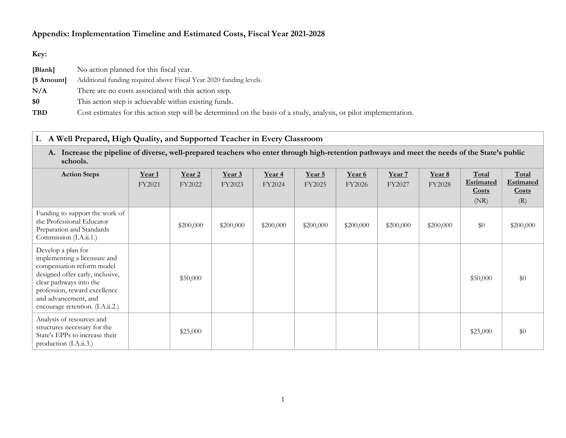# Appendix: Implementation Timeline and Estimated Costs, Fiscal Year 2021-2028

# Key:

| [Blank]     | No action planned for this fiscal year.                                                                            |
|-------------|--------------------------------------------------------------------------------------------------------------------|
| [\$ Amount] | Additional funding required above Fiscal Year 2020 funding levels.                                                 |
| N/A         | There are no costs associated with this action step.                                                               |
| \$0         | This action step is achievable within existing funds.                                                              |
| <b>TBD</b>  | Cost estimates for this action step will be determined on the basis of a study, analysis, or pilot implementation. |

# I. A Well Prepared, High Quality, and Supported Teacher in Every Classroom

A. Increase the pipeline of diverse, well-prepared teachers who enter through high-retention pathways and meet the needs of the State's public schools.

| <b>Action Steps</b>                                                                                                                                                                                                                         | Year 1<br>FY2021 | <u>Year 2</u><br>FY2022 | <u>Year 3</u><br>FY2023 | Year <sub>4</sub><br>FY2024 | Year 5<br>FY2025 | Year 6<br>FY2026 | Year 7<br>FY2027 | Year 8<br><b>FY2028</b> | Total<br>Estimated<br><b>Costs</b><br>(NR) | Total<br><b>Estimated</b><br><b>Costs</b><br>(R) |
|---------------------------------------------------------------------------------------------------------------------------------------------------------------------------------------------------------------------------------------------|------------------|-------------------------|-------------------------|-----------------------------|------------------|------------------|------------------|-------------------------|--------------------------------------------|--------------------------------------------------|
| Funding to support the work of<br>the Professional Educator<br>Preparation and Standards<br>Commission (I.A.ii.1.)                                                                                                                          |                  | \$200,000               | \$200,000               | \$200,000                   | \$200,000        | \$200,000        | \$200,000        | \$200,000               | \$0                                        | \$200,000                                        |
| Develop a plan for<br>implementing a licensure and<br>compensation reform model<br>designed offer early, inclusive,<br>clear pathways into the<br>profession, reward excellence<br>and advancement, and<br>encourage retention. (I.A.ii.2.) |                  | \$50,000                |                         |                             |                  |                  |                  |                         | \$50,000                                   | \$0                                              |
| Analysis of resources and<br>structures necessary for the<br>State's EPPs to increase their<br>production (I.A.ii.3.)                                                                                                                       |                  | \$25,000                |                         |                             |                  |                  |                  |                         | \$25,000                                   | \$0                                              |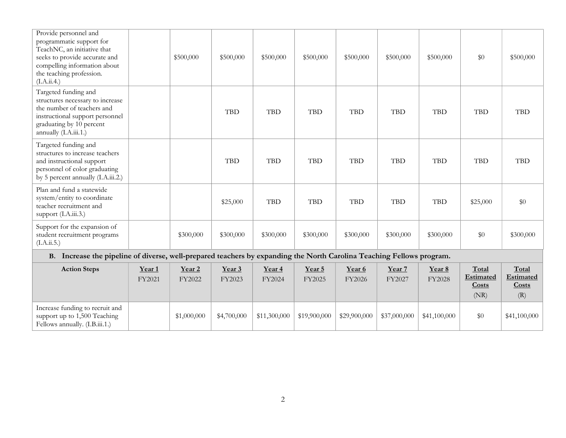| Provide personnel and<br>programmatic support for<br>TeachNC, an initiative that<br>seeks to provide accurate and<br>compelling information about<br>the teaching profession.<br>(I.A.ii.4.) |                             | \$500,000                   | \$500,000        | \$500,000                   | \$500,000        | \$500,000        | \$500,000        | \$500,000               | \$0                                 | \$500,000                                 |
|----------------------------------------------------------------------------------------------------------------------------------------------------------------------------------------------|-----------------------------|-----------------------------|------------------|-----------------------------|------------------|------------------|------------------|-------------------------|-------------------------------------|-------------------------------------------|
| Targeted funding and<br>structures necessary to increase<br>the number of teachers and<br>instructional support personnel<br>graduating by 10 percent<br>annually (I.A.iii.1.)               |                             |                             | <b>TBD</b>       | <b>TBD</b>                  | <b>TBD</b>       | <b>TBD</b>       | <b>TBD</b>       | <b>TBD</b>              | <b>TBD</b>                          | <b>TBD</b>                                |
| Targeted funding and<br>structures to increase teachers<br>and instructional support<br>personnel of color graduating<br>by 5 percent annually (I.A.iii.2.)                                  |                             |                             | <b>TBD</b>       | <b>TBD</b>                  | <b>TBD</b>       | <b>TBD</b>       | <b>TBD</b>       | <b>TBD</b>              | <b>TBD</b>                          | <b>TBD</b>                                |
| Plan and fund a statewide<br>system/entity to coordinate<br>teacher recruitment and<br>support (I.A.iii.3.)                                                                                  |                             |                             | \$25,000         | <b>TBD</b>                  | <b>TBD</b>       | <b>TBD</b>       | <b>TBD</b>       | <b>TBD</b>              | \$25,000                            | \$0                                       |
| Support for the expansion of<br>student recruitment programs<br>(LA.ii.5.)                                                                                                                   |                             | \$300,000                   | \$300,000        | \$300,000                   | \$300,000        | \$300,000        | \$300,000        | \$300,000               | \$0                                 | \$300,000                                 |
| B. Increase the pipeline of diverse, well-prepared teachers by expanding the North Carolina Teaching Fellows program.                                                                        |                             |                             |                  |                             |                  |                  |                  |                         |                                     |                                           |
| <b>Action Steps</b>                                                                                                                                                                          | Year <sub>1</sub><br>FY2021 | Year <sub>2</sub><br>FY2022 | Year 3<br>FY2023 | Year <sub>4</sub><br>FY2024 | Year 5<br>FY2025 | Year 6<br>FY2026 | Year 7<br>FY2027 | Year 8<br><b>FY2028</b> | Total<br>Estimated<br>Costs<br>(NR) | Total<br><b>Estimated</b><br>Costs<br>(R) |
| Increase funding to recruit and<br>support up to 1,500 Teaching<br>Fellows annually. (I.B.iii.1.)                                                                                            |                             | \$1,000,000                 | \$4,700,000      | \$11,300,000                | \$19,900,000     | \$29,900,000     | \$37,000,000     | \$41,100,000            | \$0                                 | \$41,100,000                              |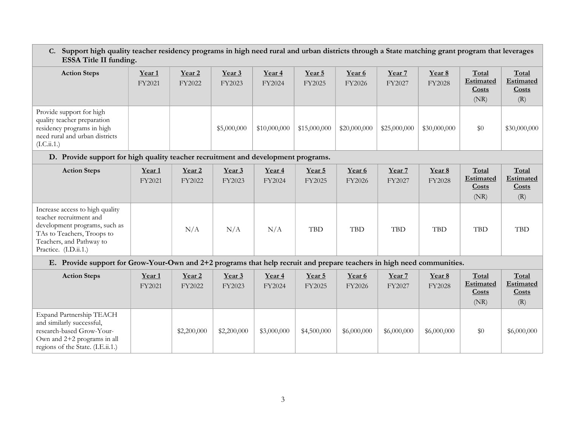#### C. Support high quality teacher residency programs in high need rural and urban districts through a State matching grant program that leverages ESSA Title II funding.

|                                                                                                                                        | $\epsilon$                  |                             |                  |                             |                  |                  |                  |                  |                                            |                                           |
|----------------------------------------------------------------------------------------------------------------------------------------|-----------------------------|-----------------------------|------------------|-----------------------------|------------------|------------------|------------------|------------------|--------------------------------------------|-------------------------------------------|
| <b>Action Steps</b>                                                                                                                    | Year <sub>1</sub><br>FY2021 | Year <sub>2</sub><br>FY2022 | Year 3<br>FY2023 | Year <sub>4</sub><br>FY2024 | Year 5<br>FY2025 | Year 6<br>FY2026 | Year 7<br>FY2027 | Year 8<br>FY2028 | Total<br>Estimated<br><b>Costs</b><br>(NR) | Total<br>Estimated<br><b>Costs</b><br>(R) |
| Provide support for high<br>quality teacher preparation<br>residency programs in high<br>need rural and urban districts<br>(L.C.ii.1.) |                             |                             | \$5,000,000      | \$10,000,000                | \$15,000,000     | \$20,000,000     | \$25,000,000     | \$30,000,000     | \$0                                        | \$30,000,000                              |

### D. Provide support for high quality teacher recruitment and development programs.

| <b>Action Steps</b>                                                                                                                                                            | Year <sub>1</sub><br>FY2021 | Year <sub>2</sub><br>FY2022 | Year 3<br>FY2023 | Year <sub>4</sub><br>FY2024 | Year 5<br>FY2025 | Year 6<br>FY2026 | Year 7<br>FY2027 | Year 8<br>FY2028 | Total<br>Estimated<br>Costs<br>(NR) | Total<br><b>Estimated</b><br>Costs<br>(R) |
|--------------------------------------------------------------------------------------------------------------------------------------------------------------------------------|-----------------------------|-----------------------------|------------------|-----------------------------|------------------|------------------|------------------|------------------|-------------------------------------|-------------------------------------------|
| Increase access to high quality<br>teacher recruitment and<br>development programs, such as<br>TAs to Teachers, Troops to<br>Teachers, and Pathway to<br>Practice. (I.D.ii.1.) |                             | N/A                         | N/A              | N/A                         | <b>TBD</b>       | TBD              | <b>TBD</b>       | TBD              | TBD                                 | <b>TBD</b>                                |

#### E. Provide support for Grow-Your-Own and 2+2 programs that help recruit and prepare teachers in high need communities.

| <b>Action Steps</b>                                                                                                                                      | Year <sub>1</sub><br>FY2021 | Year <sub>2</sub><br>FY2022 | Year <sub>3</sub><br>FY2023 | Year <sub>4</sub><br>FY2024 | Year 5<br>FY2025 | Year 6<br>FY2026 | Year 7<br>FY2027 | Year 8<br><b>FY2028</b> | Total<br>Estimated<br>Costs<br>(NR) | Total<br><b>Estimated</b><br>Costs<br>(R) |
|----------------------------------------------------------------------------------------------------------------------------------------------------------|-----------------------------|-----------------------------|-----------------------------|-----------------------------|------------------|------------------|------------------|-------------------------|-------------------------------------|-------------------------------------------|
| Expand Partnership TEACH<br>and similarly successful,<br>research-based Grow-Your-<br>Own and $2+2$ programs in all<br>regions of the State. (I.E.ii.1.) |                             | \$2,200,000                 | \$2,200,000                 | \$3,000,000                 | \$4,500,000      | \$6,000,000      | \$6,000,000      | \$6,000,000             | \$0                                 | \$6,000,000                               |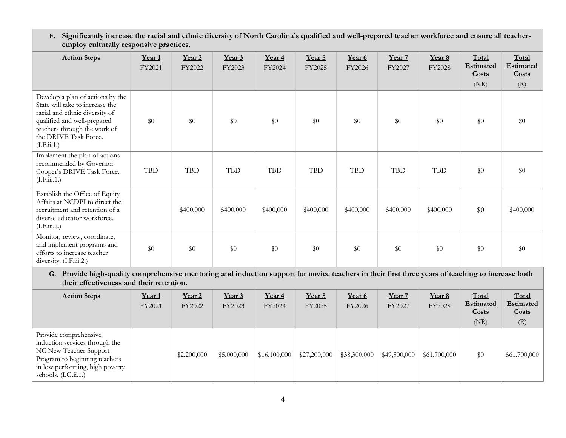F. Significantly increase the racial and ethnic diversity of North Carolina's qualified and well-prepared teacher workforce and ensure all teachers employ culturally responsive practices.

| <b>Action Steps</b>                                                                                                                                                                                          | Year <sub>1</sub><br>FY2021 | Year <sub>2</sub><br>FY2022 | Year 3<br>FY2023 | Year <sub>4</sub><br>FY2024 | Year 5<br>FY2025 | Year 6<br>FY2026 | Year 7<br>FY2027 | Year 8<br><b>FY2028</b> | Total<br>Estimated<br>Costs<br>(NR) | Total<br>Estimated<br>Costs<br>(R) |
|--------------------------------------------------------------------------------------------------------------------------------------------------------------------------------------------------------------|-----------------------------|-----------------------------|------------------|-----------------------------|------------------|------------------|------------------|-------------------------|-------------------------------------|------------------------------------|
| Develop a plan of actions by the<br>State will take to increase the<br>racial and ethnic diversity of<br>qualified and well-prepared<br>teachers through the work of<br>the DRIVE Task Force.<br>(I.F.ii.1.) | \$0                         | \$0                         | \$0              | \$0                         | \$0              | \$0              | $\$0$            | \$0                     | \$0                                 | \$0                                |
| Implement the plan of actions<br>recommended by Governor<br>Cooper's DRIVE Task Force.<br>(LF.iii.1.)                                                                                                        | <b>TBD</b>                  | <b>TBD</b>                  | <b>TBD</b>       | <b>TBD</b>                  | <b>TBD</b>       | <b>TBD</b>       | <b>TBD</b>       | <b>TBD</b>              | \$0                                 | \$0                                |
| Establish the Office of Equity<br>Affairs at NCDPI to direct the<br>recruitment and retention of a<br>diverse educator workforce.<br>(I.F.iii.2.)                                                            |                             | \$400,000                   | \$400,000        | \$400,000                   | \$400,000        | \$400,000        | \$400,000        | \$400,000               | \$0                                 | \$400,000                          |
| Monitor, review, coordinate,<br>and implement programs and<br>efforts to increase teacher<br>diversity. (I.F.iii.2.)                                                                                         | \$0                         | \$0                         | \$0              | \$0                         | \$0              | \$0              | \$0              | \$0                     | \$0                                 | \$0                                |

G. Provide high-quality comprehensive mentoring and induction support for novice teachers in their first three years of teaching to increase both their effectiveness and their retention.

| <b>Action Steps</b>                                                                                                                                                             | Year <sub>1</sub><br>FY2021 | Year 2<br>FY2022 | Year 3<br>FY2023 | Year 4<br>FY2024 | Year 5<br>FY2025 | Year 6<br>FY2026 | Year 7<br>FY2027 | Year 8<br>FY2028 | Total<br>Estimated<br>Costs<br>(NR) | Total<br><b>Estimated</b><br>Costs<br>(R) |
|---------------------------------------------------------------------------------------------------------------------------------------------------------------------------------|-----------------------------|------------------|------------------|------------------|------------------|------------------|------------------|------------------|-------------------------------------|-------------------------------------------|
| Provide comprehensive<br>induction services through the<br>NC New Teacher Support<br>Program to beginning teachers<br>in low performing, high poverty<br>schools. $(I.G.ii.1.)$ |                             | \$2,200,000      | \$5,000,000      | \$16,100,000     | \$27,200,000     | \$38,300,000     | \$49,500,000     | \$61,700,000     | \$0                                 | \$61,700,000                              |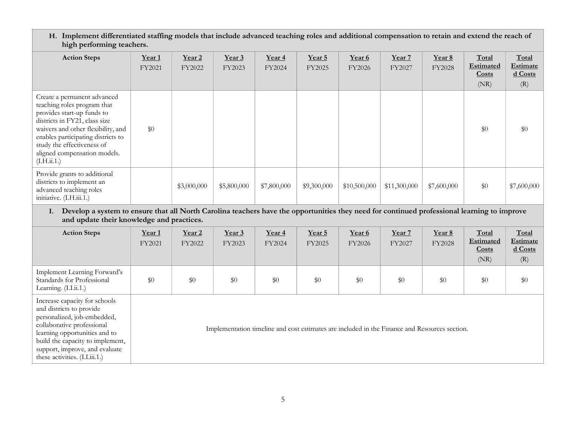H. Implement differentiated staffing models that include advanced teaching roles and additional compensation to retain and extend the reach of high performing teachers.

| <b>Action Steps</b>                                                                                                                                                                                                                                                                | Year <sub>1</sub><br>FY2021 | Year <sub>2</sub><br>FY2022 | Year <sub>3</sub><br>FY2023 | Year 4<br>FY2024 | Year 5<br>FY2025 | Year 6<br>FY2026 | Year 7<br>FY2027 | Year 8<br><b>FY2028</b> | Total<br><b>Estimated</b><br>Costs<br>(NR) | Total<br><b>Estimate</b><br>d Costs<br>(R) |
|------------------------------------------------------------------------------------------------------------------------------------------------------------------------------------------------------------------------------------------------------------------------------------|-----------------------------|-----------------------------|-----------------------------|------------------|------------------|------------------|------------------|-------------------------|--------------------------------------------|--------------------------------------------|
| Create a permanent advanced<br>teaching roles program that<br>provides start-up funds to<br>districts in FY21, class size<br>waivers and other flexibility, and<br>enables participating districts to<br>study the effectiveness of<br>aligned compensation models.<br>(I.H.ii.1.) | \$0                         |                             |                             |                  |                  |                  |                  |                         | \$0                                        | \$0                                        |
| Provide grants to additional<br>districts to implement an<br>advanced teaching roles<br>initiative. (I.H.iii.1.)                                                                                                                                                                   |                             | \$3,000,000                 | \$5,800,000                 | \$7,800,000      | \$9,300,000      | \$10,500,000     | \$11,300,000     | \$7,600,000             | \$0                                        | \$7,600,000                                |

I. Develop a system to ensure that all North Carolina teachers have the opportunities they need for continued professional learning to improve and update their knowledge and practices.

| <b>Action Steps</b>                                                                                                    | Year <sub>1</sub><br>FY2021 | Year <sub>2</sub><br>FY2022 | Year 3<br>FY2023 | Year 4<br>FY2024 | Year 5<br>FY2025 | Year 6<br>FY2026                                                                                                                                                                                                               | Year 7<br>FY2027 | Year 8<br><b>FY2028</b> | Total<br>Estimated<br><b>Costs</b><br>(NR) | Total<br><b>Estimate</b><br>$d$ Costs<br>(R) |
|------------------------------------------------------------------------------------------------------------------------|-----------------------------|-----------------------------|------------------|------------------|------------------|--------------------------------------------------------------------------------------------------------------------------------------------------------------------------------------------------------------------------------|------------------|-------------------------|--------------------------------------------|----------------------------------------------|
| Implement Learning Forward's<br>Standards for Professional<br>Learning. (I.I.ii.1.)                                    | \$0                         | \$0                         | \$0              | \$0              | \$0              | \$0                                                                                                                                                                                                                            | \$0              | \$0                     | \$0                                        | \$0                                          |
| Increase capacity for schools<br>and districts to provide<br>personalized, job-embedded,<br>collaborative professional |                             |                             |                  |                  |                  | the contract of the contract of the contract of the contract of the contract of the contract of the contract of the contract of the contract of the contract of the contract of the contract of the contract of the contract o | 1 <sub>D</sub>   |                         |                                            |                                              |

Implementation timeline and cost estimates are included in the Finance and Resources section.

learning opportunities and to build the capacity to implement, support, improve, and evaluate these activities. (I.I.iii.1.)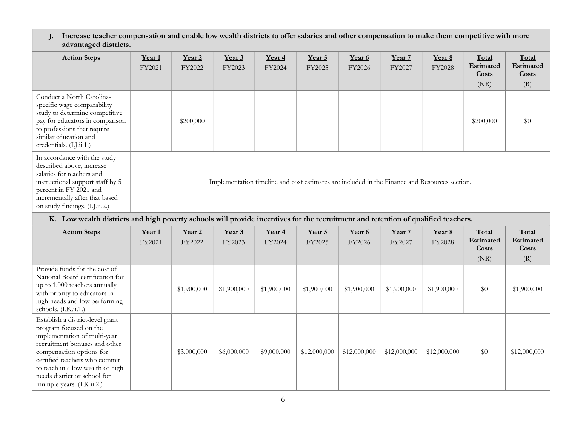J. Increase teacher compensation and enable low wealth districts to offer salaries and other compensation to make them competitive with more advantaged districts.

| <b>Action Steps</b>                                                                                                                                                                                                      | Year <sub>1</sub><br>FY2021                                      | Year <sub>2</sub><br>FY2022                                                                   | Year 3<br>FY2023         | Year 4<br>FY2024                                       | Year 5<br>FY2025                                       | Year 6<br>FY2026                                                | Year 7<br>FY2027            | Year 8<br><b>FY2028</b>  | Total<br><b>Estimated</b><br><b>Costs</b><br>(NR) | Total<br><b>Estimated</b><br><b>Costs</b><br>(R) |  |  |
|--------------------------------------------------------------------------------------------------------------------------------------------------------------------------------------------------------------------------|------------------------------------------------------------------|-----------------------------------------------------------------------------------------------|--------------------------|--------------------------------------------------------|--------------------------------------------------------|-----------------------------------------------------------------|-----------------------------|--------------------------|---------------------------------------------------|--------------------------------------------------|--|--|
| Conduct a North Carolina-<br>specific wage comparability<br>study to determine competitive<br>pay for educators in comparison<br>to professions that require<br>similar education and<br>credentials. (I.J.ii.1.)        |                                                                  | \$200,000                                                                                     |                          |                                                        |                                                        |                                                                 |                             |                          | \$200,000                                         | \$0                                              |  |  |
| In accordance with the study<br>described above, increase<br>salaries for teachers and<br>instructional support staff by 5<br>percent in FY 2021 and<br>incrementally after that based<br>on study findings. (I.J.ii.2.) |                                                                  | Implementation timeline and cost estimates are included in the Finance and Resources section. |                          |                                                        |                                                        |                                                                 |                             |                          |                                                   |                                                  |  |  |
| K. Low wealth districts and high poverty schools will provide incentives for the recruitment and retention of qualified teachers.                                                                                        |                                                                  |                                                                                               |                          |                                                        |                                                        |                                                                 |                             |                          |                                                   |                                                  |  |  |
| <b>Action Steps</b>                                                                                                                                                                                                      | Year 1<br>$\Gamma$ $\Gamma$ $\Omega$ $\Omega$ $\Omega$ $\Lambda$ | Year 2<br>$\Gamma$ 70000                                                                      | Year 3<br>$\Gamma$ 70000 | Year 4<br>$\Gamma$ $\Gamma$ $\Omega$ $\Omega$ $\Omega$ | Year 5<br>$\Gamma$ $\Gamma$ $\Omega$ $\Omega$ $\Gamma$ | Year 6<br>$\Gamma$ $\Gamma$ $\Omega$ $\Omega$ $\Omega$ $\Omega$ | Year 7<br>$\Gamma$ $(2002)$ | Year 8<br>$\Gamma$ 32000 | Total<br>Estimated                                | <b>Total</b><br>Estimated                        |  |  |

|                                                                                                                                                                                                                                                                                             | FY2021 | FY2022      | FY2023      | FY2024      | FY2025       | FY2026       | FY2027       | FY2028       | Estimated<br>Costs<br>(NR) | <b>Estimated</b><br>Costs<br>(R) |
|---------------------------------------------------------------------------------------------------------------------------------------------------------------------------------------------------------------------------------------------------------------------------------------------|--------|-------------|-------------|-------------|--------------|--------------|--------------|--------------|----------------------------|----------------------------------|
| Provide funds for the cost of<br>National Board certification for<br>up to 1,000 teachers annually<br>with priority to educators in<br>high needs and low performing<br>schools. (I.K.ii.1.)                                                                                                |        | \$1,900,000 | \$1,900,000 | \$1,900,000 | \$1,900,000  | \$1,900,000  | \$1,900,000  | \$1,900,000  | \$0                        | \$1,900,000                      |
| Establish a district-level grant<br>program focused on the<br>implementation of multi-year<br>recruitment bonuses and other<br>compensation options for<br>certified teachers who commit<br>to teach in a low wealth or high<br>needs district or school for<br>multiple years. (I.K.ii.2.) |        | \$3,000,000 | \$6,000,000 | \$9,000,000 | \$12,000,000 | \$12,000,000 | \$12,000,000 | \$12,000,000 | \$0                        | \$12,000,000                     |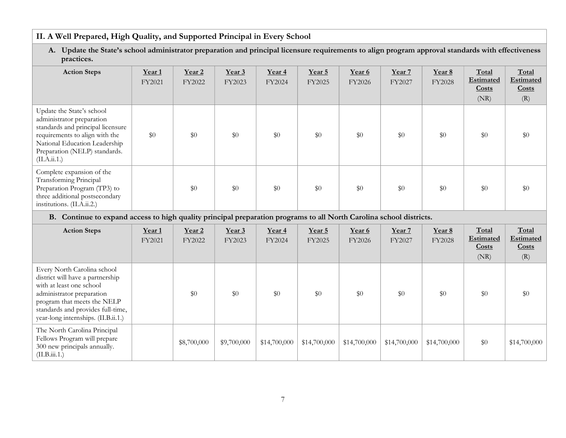# II. A Well Prepared, High Quality, and Supported Principal in Every School

## A. Update the State's school administrator preparation and principal licensure requirements to align program approval standards with effectiveness practices.

| <b>Action Steps</b>                                                                                                                                                                                             | Year <sub>1</sub><br>FY2021 | Year <sub>2</sub><br>FY2022 | Year 3<br>FY2023 | Year 4<br>FY2024 | Year 5<br>FY2025 | Year 6<br>FY2026 | Year 7<br>FY2027 | Year 8<br><b>FY2028</b> | Total<br>Estimated<br>Costs<br>(NR) | Total<br><b>Estimated</b><br>Costs<br>(R) |
|-----------------------------------------------------------------------------------------------------------------------------------------------------------------------------------------------------------------|-----------------------------|-----------------------------|------------------|------------------|------------------|------------------|------------------|-------------------------|-------------------------------------|-------------------------------------------|
| Update the State's school<br>administrator preparation<br>standards and principal licensure<br>requirements to align with the<br>National Education Leadership<br>Preparation (NELP) standards.<br>(II.A.ii.1.) | $\$0$                       | \$0                         | \$0              | \$0              | \$0              | \$0              | \$0              | \$0                     | \$0                                 | \$0                                       |
| Complete expansion of the<br>Transforming Principal<br>Preparation Program (TP3) to<br>three additional postsecondary<br>institutions. (II.A.ii.2.)                                                             |                             | \$0                         | \$0              | \$0              | \$0              | \$0              | $\$0$            | \$0                     | $\$0$                               | \$0                                       |

B. Continue to expand access to high quality principal preparation programs to all North Carolina school districts.

| <b>Action Steps</b>                                                                                                                                                                                                                 | Year <sub>1</sub><br>FY2021 | Year <sub>2</sub><br>FY2022 | Year 3<br>FY2023 | Year <sub>4</sub><br>FY2024 | Year 5<br>FY2025 | Year 6<br>FY2026 | Year 7<br>FY2027 | Year 8<br><b>FY2028</b> | Total<br>Estimated<br><b>Costs</b><br>(NR) | Total<br>Estimated<br>Costs<br>(R) |
|-------------------------------------------------------------------------------------------------------------------------------------------------------------------------------------------------------------------------------------|-----------------------------|-----------------------------|------------------|-----------------------------|------------------|------------------|------------------|-------------------------|--------------------------------------------|------------------------------------|
| Every North Carolina school<br>district will have a partnership<br>with at least one school<br>administrator preparation<br>program that meets the NELP<br>standards and provides full-time,<br>year-long internships. (II.B.ii.1.) |                             | \$0                         | \$0              | \$0                         | \$0              | \$0              | \$0              | \$0                     | \$0                                        | \$0                                |
| The North Carolina Principal<br>Fellows Program will prepare<br>300 new principals annually.<br>(II.B.iii.1.)                                                                                                                       |                             | \$8,700,000                 | \$9,700,000      | \$14,700,000                | \$14,700,000     | \$14,700,000     | \$14,700,000     | \$14,700,000            | \$0                                        | \$14,700,000                       |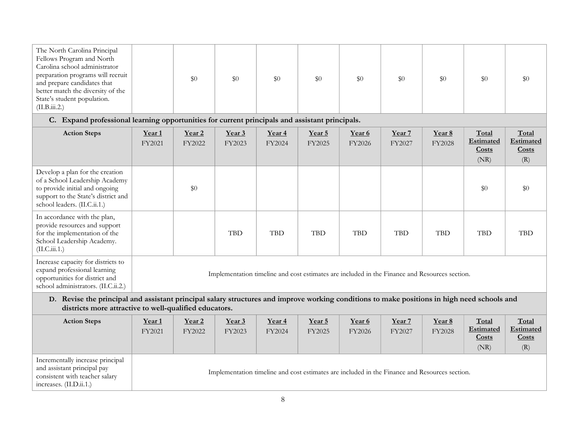| The North Carolina Principal<br>Fellows Program and North<br>Carolina school administrator<br>preparation programs will recruit<br>\$0<br>\$0<br>\$0<br>\$0<br>\$0<br>\$0<br>\$0<br>and prepare candidates that<br>better match the diversity of the<br>State's student population.<br>(II.B.iii.2.) |  |
|------------------------------------------------------------------------------------------------------------------------------------------------------------------------------------------------------------------------------------------------------------------------------------------------------|--|
|------------------------------------------------------------------------------------------------------------------------------------------------------------------------------------------------------------------------------------------------------------------------------------------------------|--|

C. Expand professional learning opportunities for current principals and assistant principals.

| <b>Action Steps</b>                                                                                                                                                                                      | Year <sub>1</sub><br>FY2021 | Year <sub>2</sub><br>FY2022                                                                   | Year 3<br>FY2023 | Year 4<br>FY2024 | <u>Year 5</u><br>FY2025 | Year 6<br>FY2026 | Year 7<br>FY2027 | Year 8<br><b>FY2028</b> | Total<br><b>Estimated</b><br><b>Costs</b><br>(NR) | Total<br><b>Estimated</b><br>$\frac{\text{Costs}}{\text{Costs}}$<br>(R) |  |
|----------------------------------------------------------------------------------------------------------------------------------------------------------------------------------------------------------|-----------------------------|-----------------------------------------------------------------------------------------------|------------------|------------------|-------------------------|------------------|------------------|-------------------------|---------------------------------------------------|-------------------------------------------------------------------------|--|
| Develop a plan for the creation<br>of a School Leadership Academy<br>to provide initial and ongoing<br>support to the State's district and<br>school leaders. (II.C.ii.1.)                               |                             | \$0                                                                                           |                  |                  |                         |                  |                  |                         | \$0                                               | \$0                                                                     |  |
| In accordance with the plan,<br>provide resources and support<br>for the implementation of the<br>School Leadership Academy.<br>(II.C.iii.1.)                                                            |                             |                                                                                               | <b>TBD</b>       | <b>TBD</b>       | <b>TBD</b>              | <b>TBD</b>       | <b>TBD</b>       | <b>TBD</b>              | <b>TBD</b>                                        | <b>TBD</b>                                                              |  |
| Increase capacity for districts to<br>expand professional learning<br>opportunities for district and<br>school administrators. (II.C.ii.2.)                                                              |                             | Implementation timeline and cost estimates are included in the Finance and Resources section. |                  |                  |                         |                  |                  |                         |                                                   |                                                                         |  |
| Revise the principal and assistant principal salary structures and improve working conditions to make positions in high need schools and<br>D.<br>districts more attractive to well-qualified educators. |                             |                                                                                               |                  |                  |                         |                  |                  |                         |                                                   |                                                                         |  |

| <b>Action Steps</b>                                                                                                          | Year <sub>1</sub><br>FY2021 | Year <sub>2</sub><br>FY2022 | Year <sub>3</sub><br>FY2023 | Year <sub>4</sub><br>FY2024 | Year 5<br>FY2025                                                                              | Year 6<br>FY2026 | Year <sub>7</sub><br>FY2027 | Year 8<br>FY2028 | Total<br>Estimated<br>Costs<br>(NR) | Total<br>Estimated<br>Costs<br>$\left( \mathrm{R}\right)$ |
|------------------------------------------------------------------------------------------------------------------------------|-----------------------------|-----------------------------|-----------------------------|-----------------------------|-----------------------------------------------------------------------------------------------|------------------|-----------------------------|------------------|-------------------------------------|-----------------------------------------------------------|
| Incrementally increase principal<br>and assistant principal pay<br>consistent with teacher salary<br>increases. (II.D.ii.1.) |                             |                             |                             |                             | Implementation timeline and cost estimates are included in the Finance and Resources section. |                  |                             |                  |                                     |                                                           |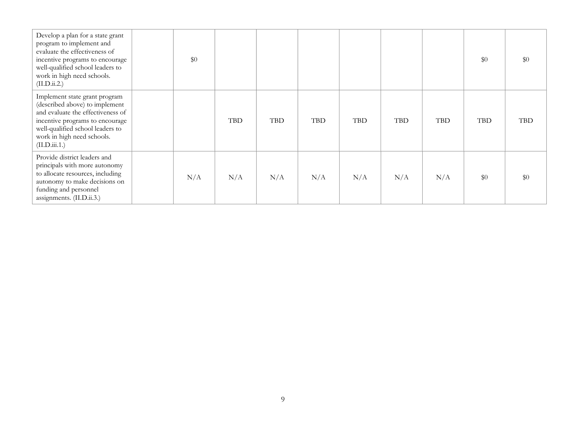| Develop a plan for a state grant<br>program to implement and<br>evaluate the effectiveness of<br>incentive programs to encourage<br>well-qualified school leaders to<br>work in high need schools.<br>(II.D.ii.2.)         | \$0 |            |            |            |            |            |            | \$0        | \$0        |
|----------------------------------------------------------------------------------------------------------------------------------------------------------------------------------------------------------------------------|-----|------------|------------|------------|------------|------------|------------|------------|------------|
| Implement state grant program<br>(described above) to implement<br>and evaluate the effectiveness of<br>incentive programs to encourage<br>well-qualified school leaders to<br>work in high need schools.<br>(II.D.iii.1.) |     | <b>TBD</b> | <b>TBD</b> | <b>TBD</b> | <b>TBD</b> | <b>TBD</b> | <b>TBD</b> | <b>TBD</b> | <b>TBD</b> |
| Provide district leaders and<br>principals with more autonomy<br>to allocate resources, including<br>autonomy to make decisions on<br>funding and personnel<br>assignments. (II.D.ii.3.)                                   | N/A | N/A        | N/A        | N/A        | N/A        | N/A        | N/A        | \$0        | \$0        |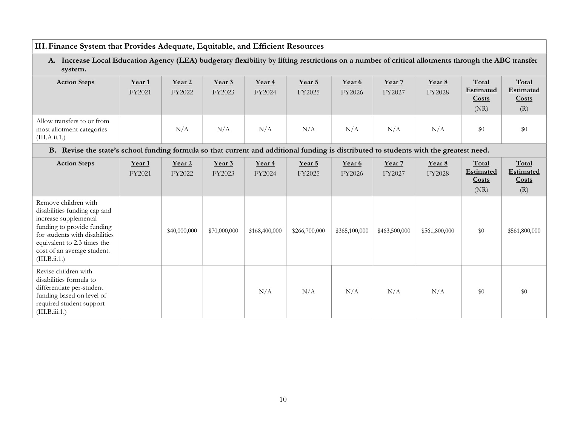# III.Finance System that Provides Adequate, Equitable, and Efficient Resources

A. Increase Local Education Agency (LEA) budgetary flexibility by lifting restrictions on a number of critical allotments through the ABC transfer system.

| <b>Action Steps</b>                                                      | Year <sub>1</sub><br>FY2021 | Year <sub>2</sub><br>FY2022 | Year 3<br>FY2023 | Year 4<br>FY2024 | Year 5<br>FY2025 | Year 6<br>FY2026 | Year 7<br>FY2027 | Year 8<br>FY2028 | Total<br><b>Estimated</b><br>Costs<br>(NR) | Total<br><b>Estimated</b><br>Costs<br>(R) |
|--------------------------------------------------------------------------|-----------------------------|-----------------------------|------------------|------------------|------------------|------------------|------------------|------------------|--------------------------------------------|-------------------------------------------|
| Allow transfers to or from<br>most allotment categories<br>(III.A.ii.1.) |                             | N/A                         | N/A              | N/A              | N/A              | N/A              | N/A              | N/A              | \$0                                        | \$0                                       |

B. Revise the state's school funding formula so that current and additional funding is distributed to students with the greatest need.

| <b>Action Steps</b>                                                                                                                                                                                                          | Year <sub>1</sub><br>FY2021 | Year 2<br>FY2022 | Year 3<br>FY2023 | Year 4<br>FY2024 | Year 5<br>FY2025 | Year 6<br>FY2026 | Year 7<br>FY2027 | Year 8<br>FY2028 | Total<br><b>Estimated</b><br>Costs<br>(NR) | Total<br><b>Estimated</b><br>Costs<br>(R) |
|------------------------------------------------------------------------------------------------------------------------------------------------------------------------------------------------------------------------------|-----------------------------|------------------|------------------|------------------|------------------|------------------|------------------|------------------|--------------------------------------------|-------------------------------------------|
| Remove children with<br>disabilities funding cap and<br>increase supplemental<br>funding to provide funding<br>for students with disabilities<br>equivalent to 2.3 times the<br>cost of an average student.<br>(III.B.ii.1.) |                             | \$40,000,000     | \$70,000,000     | \$168,400,000    | \$266,700,000    | \$365,100,000    | \$463,500,000    | \$561,800,000    | \$0                                        | \$561,800,000                             |
| Revise children with<br>disabilities formula to<br>differentiate per-student<br>funding based on level of<br>required student support<br>(III.B.iii.1.)                                                                      |                             |                  |                  | N/A              | N/A              | N/A              | N/A              | N/A              | \$0                                        | \$0                                       |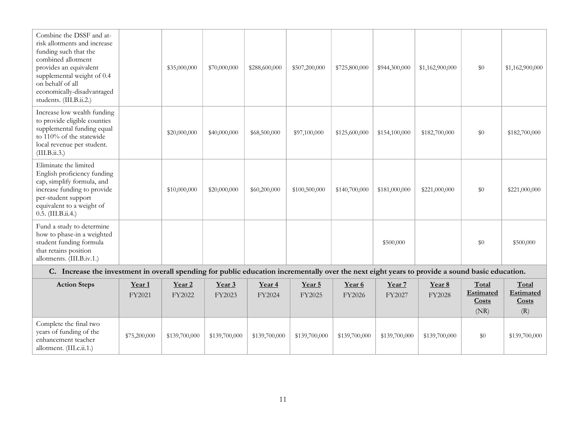| Combine the DSSF and at-<br>risk allotments and increase<br>funding such that the<br>combined allotment<br>provides an equivalent<br>supplemental weight of 0.4<br>on behalf of all<br>economically-disadvantaged<br>students. (III.B.ii.2.) |                 | \$35,000,000       | \$70,000,000            | \$288,600,000                              | \$507,200,000 | \$725,800,000    | \$944,300,000                     | \$1,162,900,000 | \$0             | \$1,162,900,000 |
|----------------------------------------------------------------------------------------------------------------------------------------------------------------------------------------------------------------------------------------------|-----------------|--------------------|-------------------------|--------------------------------------------|---------------|------------------|-----------------------------------|-----------------|-----------------|-----------------|
| Increase low wealth funding<br>to provide eligible counties<br>supplemental funding equal<br>to 110% of the statewide<br>local revenue per student.<br>(III.B.ii.3.)                                                                         |                 | \$20,000,000       | \$40,000,000            | \$68,500,000                               | \$97,100,000  | \$125,600,000    | \$154,100,000                     | \$182,700,000   | \$0             | \$182,700,000   |
| Eliminate the limited<br>English proficiency funding<br>cap, simplify formula, and<br>increase funding to provide<br>per-student support<br>equivalent to a weight of<br>0.5. (III.B.ii.4.)                                                  |                 | \$10,000,000       | \$20,000,000            | \$60,200,000                               | \$100,500,000 | \$140,700,000    | \$181,000,000                     | \$221,000,000   | \$0             | \$221,000,000   |
| Fund a study to determine<br>how to phase-in a weighted<br>student funding formula<br>that retains position<br>allotments. (III.B.iv.1.)<br>$\sim$ $\sim$<br>$\sim$ $\sim$ $\sim$                                                            | $\cdot$ $\cdot$ | $-11$<br>$\bullet$ | $\sim$<br>$\rightarrow$ | $\sim$ $\sim$<br>$\cdot$ $\cdot$<br>$\sim$ | $-11$         | $\sim$ 100 $\pm$ | \$500,000<br>$\sim$ $\sim$ $\sim$ | $\cdot$ $\cdot$ | \$0<br>$\cdots$ | \$500,000       |

#### C. Increase the investment in overall spending for public education incrementally over the next eight years to provide a sound basic education.

| <b>Action Steps</b>                                                                                  | Year 1<br>FY2021 | <u>Year 2</u><br>FY2022 | Year 3<br>FY2023 | Year 4<br>FY2024 | Year 5<br>FY2025 | Year 6<br>FY2026 | Year 7<br>FY2027 | Year 8<br>FY2028 | Total<br><b>Estimated</b><br><b>Costs</b><br>(NR) | Total<br>Estimated<br>Costs<br>$\left( \mathrm{R}\right)$ |
|------------------------------------------------------------------------------------------------------|------------------|-------------------------|------------------|------------------|------------------|------------------|------------------|------------------|---------------------------------------------------|-----------------------------------------------------------|
| Complete the final two<br>years of funding of the<br>enhancement teacher<br>allotment. (III.c.ii.1.) | \$75,200,000     | \$139,700,000           | \$139,700,000    | \$139,700,000    | \$139,700,000    | \$139,700,000    | \$139,700,000    | \$139,700,000    | \$0                                               | \$139,700,000                                             |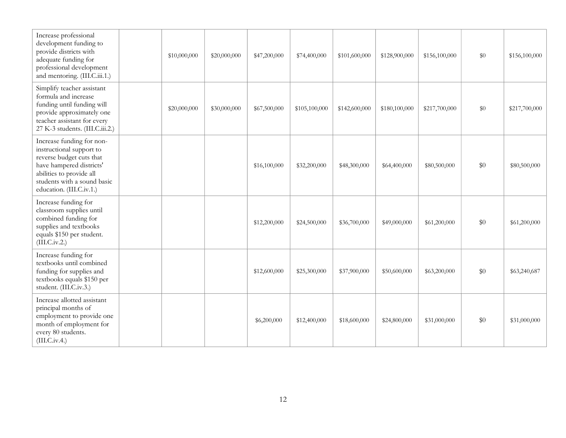| Increase professional<br>development funding to<br>provide districts with<br>adequate funding for<br>professional development<br>and mentoring. (III.C.iii.1.)                                       | \$10,000,000 | \$20,000,000 | \$47,200,000 | \$74,400,000  | \$101,600,000 | \$128,900,000 | \$156,100,000 | \$0   | \$156,100,000 |
|------------------------------------------------------------------------------------------------------------------------------------------------------------------------------------------------------|--------------|--------------|--------------|---------------|---------------|---------------|---------------|-------|---------------|
| Simplify teacher assistant<br>formula and increase<br>funding until funding will<br>provide approximately one<br>teacher assistant for every<br>27 K-3 students. (III.C.iii.2.)                      | \$20,000,000 | \$30,000,000 | \$67,500,000 | \$105,100,000 | \$142,600,000 | \$180,100,000 | \$217,700,000 | \$0   | \$217,700,000 |
| Increase funding for non-<br>instructional support to<br>reverse budget cuts that<br>have hampered districts'<br>abilities to provide all<br>students with a sound basic<br>education. (III.C.iv.1.) |              |              | \$16,100,000 | \$32,200,000  | \$48,300,000  | \$64,400,000  | \$80,500,000  | \$0   | \$80,500,000  |
| Increase funding for<br>classroom supplies until<br>combined funding for<br>supplies and textbooks<br>equals \$150 per student.<br>(III.C.iv.2.)                                                     |              |              | \$12,200,000 | \$24,500,000  | \$36,700,000  | \$49,000,000  | \$61,200,000  | $\$0$ | \$61,200,000  |
| Increase funding for<br>textbooks until combined<br>funding for supplies and<br>textbooks equals \$150 per<br>student. (III.C.iv.3.)                                                                 |              |              | \$12,600,000 | \$25,300,000  | \$37,900,000  | \$50,600,000  | \$63,200,000  | $\$0$ | \$63,240,687  |
| Increase allotted assistant<br>principal months of<br>employment to provide one<br>month of employment for<br>every 80 students.<br>(III.C.iv.4.)                                                    |              |              | \$6,200,000  | \$12,400,000  | \$18,600,000  | \$24,800,000  | \$31,000,000  | \$0   | \$31,000,000  |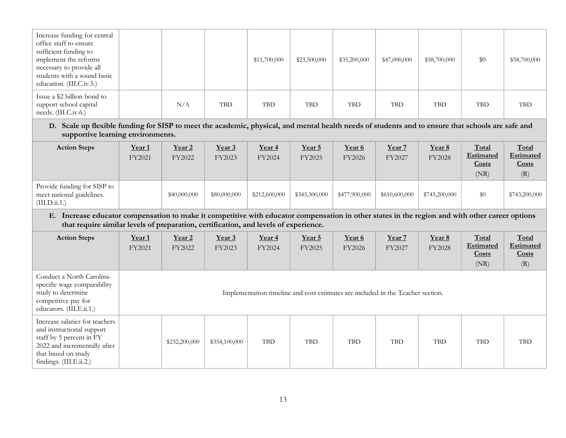| Increase funding for central<br>office staff to ensure<br>sufficient funding to<br>implement the reforms<br>necessary to provide all<br>students with a sound basic<br>education. (III.C.iv.5.)                                         |                  |                  |                  | \$11,700,000                                                                    | \$23,500,000     | \$35,200,000     | \$47,000,000     | \$58,700,000     | \$0                                 | \$58,700,000                       |
|-----------------------------------------------------------------------------------------------------------------------------------------------------------------------------------------------------------------------------------------|------------------|------------------|------------------|---------------------------------------------------------------------------------|------------------|------------------|------------------|------------------|-------------------------------------|------------------------------------|
| Issue a \$2 billion bond to<br>support school capital<br>needs. (III.C.iv.6.)                                                                                                                                                           |                  | N/A              | <b>TBD</b>       | <b>TBD</b>                                                                      | <b>TBD</b>       | TBD              | <b>TBD</b>       | <b>TBD</b>       | <b>TBD</b>                          | <b>TBD</b>                         |
| D. Scale up flexible funding for SISP to meet the academic, physical, and mental health needs of students and to ensure that schools are safe and<br>supportive learning environments.                                                  |                  |                  |                  |                                                                                 |                  |                  |                  |                  |                                     |                                    |
| <b>Action Steps</b>                                                                                                                                                                                                                     | Year 1<br>FY2021 | Year 2<br>FY2022 | Year 3<br>FY2023 | Year 4<br>FY2024                                                                | Year 5<br>FY2025 | Year 6<br>FY2026 | Year 7<br>FY2027 | Year 8<br>FY2028 | Total<br>Estimated<br>Costs<br>(NR) | Total<br>Estimated<br>Costs<br>(R) |
| Provide funding for SISP to<br>meet national guidelines.<br>(III.D.ii.1.)                                                                                                                                                               |                  | \$40,000,000     | \$80,000,000     | \$212,600,000                                                                   | \$345,300,000    | \$477,900,000    | \$610,600,000    | \$743,200,000    | \$0                                 | \$743,200,000                      |
| E. Increase educator compensation to make it competitive with educator compensation in other states in the region and with other career options<br>that require similar levels of preparation, certification, and levels of experience. |                  |                  |                  |                                                                                 |                  |                  |                  |                  |                                     |                                    |
| <b>Action Steps</b>                                                                                                                                                                                                                     | Year 1<br>FY2021 | Year 2<br>FY2022 | Year 3<br>FY2023 | Year 4<br>FY2024                                                                | Year 5<br>FY2025 | Year 6<br>FY2026 | Year 7<br>FY2027 | Year 8<br>FY2028 | Total<br>Estimated<br>Costs<br>(NR) | Total<br>Estimated<br>Costs<br>(R) |
| Conduct a North Carolina-<br>specific wage comparability<br>study to determine<br>competitive pay for<br>educators. (III.E.ii.1.)                                                                                                       |                  |                  |                  | Implementation timeline and cost estimates are included in the Teacher section. |                  |                  |                  |                  |                                     |                                    |
| Increase salaries for teachers<br>and instructional support<br>staff by 5 percent in FY<br>2022 and incrementally after<br>that based on study<br>findings. (III.E.ii.2.)                                                               |                  | \$232,200,000    | \$354,100,000    | TBD                                                                             | <b>TBD</b>       | <b>TBD</b>       | <b>TBD</b>       | <b>TBD</b>       | <b>TBD</b>                          | <b>TBD</b>                         |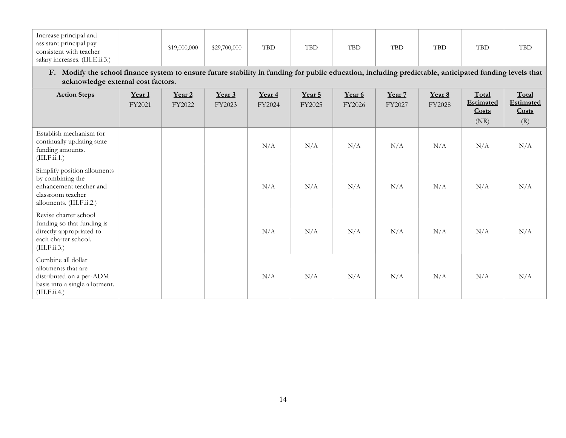| Increase principal and<br>assistant principal pay<br>consistent with teacher<br>salary increases. (III.E.ii.3.)                                                                              |                  | \$19,000,000     | \$29,700,000     | <b>TBD</b>       | <b>TBD</b>       | <b>TBD</b>       | <b>TBD</b>       | <b>TBD</b>       | <b>TBD</b>                                 | <b>TBD</b>                                |  |  |  |
|----------------------------------------------------------------------------------------------------------------------------------------------------------------------------------------------|------------------|------------------|------------------|------------------|------------------|------------------|------------------|------------------|--------------------------------------------|-------------------------------------------|--|--|--|
| F. Modify the school finance system to ensure future stability in funding for public education, including predictable, anticipated funding levels that<br>acknowledge external cost factors. |                  |                  |                  |                  |                  |                  |                  |                  |                                            |                                           |  |  |  |
| <b>Action Steps</b>                                                                                                                                                                          | Year 1<br>FY2021 | Year 2<br>FY2022 | Year 3<br>FY2023 | Year 4<br>FY2024 | Year 5<br>FY2025 | Year 6<br>FY2026 | Year 7<br>FY2027 | Year 8<br>FY2028 | Total<br><b>Estimated</b><br>Costs<br>(NR) | Total<br><b>Estimated</b><br>Costs<br>(R) |  |  |  |
| Establish mechanism for<br>continually updating state<br>funding amounts.<br>(III.F.ii.1.)                                                                                                   |                  |                  |                  | N/A              | N/A              | N/A              | N/A              | N/A              | N/A                                        | N/A                                       |  |  |  |
| Simplify position allotments<br>by combining the<br>enhancement teacher and<br>classroom teacher<br>allotments. (III.F.ii.2.)                                                                |                  |                  |                  | N/A              | N/A              | N/A              | N/A              | N/A              | N/A                                        | N/A                                       |  |  |  |
| Revise charter school<br>funding so that funding is<br>directly appropriated to<br>each charter school.<br>(III.F.ii.3.)                                                                     |                  |                  |                  | N/A              | N/A              | N/A              | N/A              | N/A              | N/A                                        | N/A                                       |  |  |  |
| Combine all dollar<br>allotments that are<br>distributed on a per-ADM<br>basis into a single allotment.<br>(III.F.ii.4.)                                                                     |                  |                  |                  | N/A              | N/A              | N/A              | N/A              | N/A              | N/A                                        | N/A                                       |  |  |  |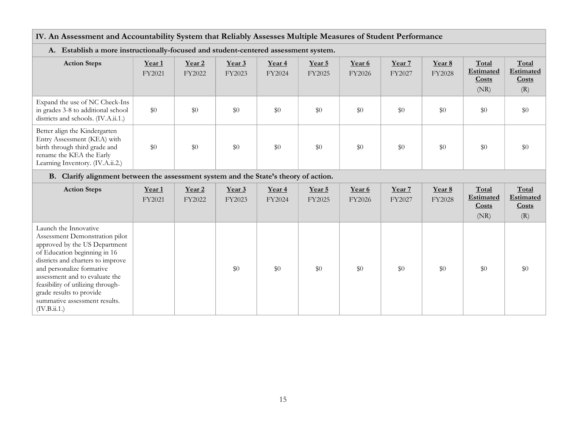# IV. An Assessment and Accountability System that Reliably Assesses Multiple Measures of Student Performance

| A. Establish a more instructionally-locused and student-centered assessment system.                                                                           |                  |                  |                  |                  |                  |                  |                  |                         |                                            |                                           |  |
|---------------------------------------------------------------------------------------------------------------------------------------------------------------|------------------|------------------|------------------|------------------|------------------|------------------|------------------|-------------------------|--------------------------------------------|-------------------------------------------|--|
| <b>Action Steps</b>                                                                                                                                           | Year 1<br>FY2021 | Year 2<br>FY2022 | Year 3<br>FY2023 | Year 4<br>FY2024 | Year 5<br>FY2025 | Year 6<br>FY2026 | Year 7<br>FY2027 | Year 8<br><b>FY2028</b> | Total<br><b>Estimated</b><br>Costs<br>(NR) | Total<br><b>Estimated</b><br>Costs<br>(R) |  |
| Expand the use of NC Check-Ins<br>in grades 3-8 to additional school<br>districts and schools. (IV.A.ii.1.)                                                   | \$0              | \$0              | \$0              | \$0              | \$0              | \$0              | \$0              | \$0                     | \$0                                        | \$0                                       |  |
| Better align the Kindergarten<br>Entry Assessment (KEA) with<br>birth through third grade and<br>rename the KEA the Early<br>Learning Inventory. (IV.A.ii.2.) | \$0              | \$0              | \$0              | \$0              | \$0              | \$0              | \$0              | \$0                     | \$0                                        | \$0                                       |  |

#### A. Establish a more instructionally-focused and student-centered assessment system.

#### B. Clarify alignment between the assessment system and the State's theory of action.

| <b>Action Steps</b>                                                                                                                                                                                                                                                                                                                            | Year 1<br>FY2021 | Year 2<br>FY2022 | Year 3<br>FY2023 | Year 4<br>FY2024 | Year 5<br>FY2025 | Year 6<br>FY2026 | Year 7<br>FY2027 | Year 8<br><b>FY2028</b> | Total<br><b>Estimated</b><br>Costs<br>(NR) | Total<br>Estimated<br>Costs<br>(R) |
|------------------------------------------------------------------------------------------------------------------------------------------------------------------------------------------------------------------------------------------------------------------------------------------------------------------------------------------------|------------------|------------------|------------------|------------------|------------------|------------------|------------------|-------------------------|--------------------------------------------|------------------------------------|
| Launch the Innovative<br>Assessment Demonstration pilot<br>approved by the US Department<br>of Education beginning in 16<br>districts and charters to improve<br>and personalize formative<br>assessment and to evaluate the<br>feasibility of utilizing through-<br>grade results to provide<br>summative assessment results.<br>(IV.B.ii.1.) |                  |                  | \$0              | \$0              | \$0              | \$0              | \$0              | \$0                     | \$0                                        | \$0                                |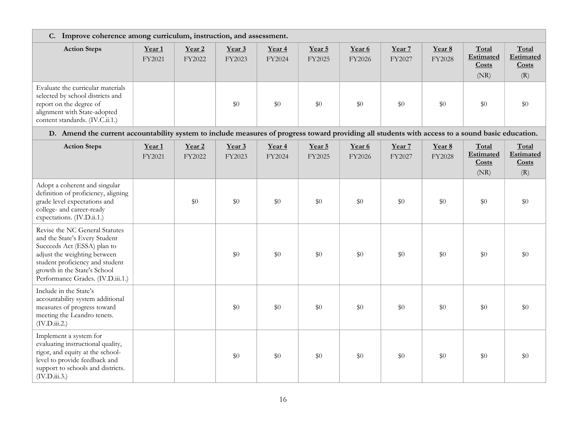| C. Improve coherence among curriculum, instruction, and assessment.                                                                                                                                                                    |                             |                             |                  |                  |                  |                  |                  |                  |                                     |                                    |  |  |
|----------------------------------------------------------------------------------------------------------------------------------------------------------------------------------------------------------------------------------------|-----------------------------|-----------------------------|------------------|------------------|------------------|------------------|------------------|------------------|-------------------------------------|------------------------------------|--|--|
| <b>Action Steps</b>                                                                                                                                                                                                                    | Year <sub>1</sub><br>FY2021 | Year <sub>2</sub><br>FY2022 | Year 3<br>FY2023 | Year 4<br>FY2024 | Year 5<br>FY2025 | Year 6<br>FY2026 | Year 7<br>FY2027 | Year 8<br>FY2028 | Total<br>Estimated<br>Costs<br>(NR) | Total<br>Estimated<br>Costs<br>(R) |  |  |
| Evaluate the curricular materials<br>selected by school districts and<br>report on the degree of<br>alignment with State-adopted<br>content standards. (IV.C.ii.1.)                                                                    |                             |                             | \$0              | \$0              | \$0              | \$0              | \$0              | \$0              | $\$0$                               | \$0                                |  |  |
| D. Amend the current accountability system to include measures of progress toward providing all students with access to a sound basic education.                                                                                       |                             |                             |                  |                  |                  |                  |                  |                  |                                     |                                    |  |  |
| <b>Action Steps</b>                                                                                                                                                                                                                    | Year <sub>1</sub><br>FY2021 | Year <sub>2</sub><br>FY2022 | Year 3<br>FY2023 | Year 4<br>FY2024 | Year 5<br>FY2025 | Year 6<br>FY2026 | Year 7<br>FY2027 | Year 8<br>FY2028 | Total<br>Estimated<br>Costs<br>(NR) | Total<br>Estimated<br>Costs<br>(R) |  |  |
| Adopt a coherent and singular<br>definition of proficiency, aligning<br>grade level expectations and<br>college- and career-ready<br>expectations. (IV.D.ii.1.)                                                                        |                             | \$0                         | \$0              | \$0              | \$0              | $\$0$            | \$0              | \$0              | $\$0$                               | \$0                                |  |  |
| Revise the NC General Statutes<br>and the State's Every Student<br>Succeeds Act (ESSA) plan to<br>adjust the weighting between<br>student proficiency and student<br>growth in the State's School<br>Performance Grades. (IV.D.iii.1.) |                             |                             | \$0              | \$0              | \$0              | \$0              | \$0              | \$0              | $\$0$                               | \$0                                |  |  |
| Include in the State's<br>accountability system additional<br>measures of progress toward<br>meeting the Leandro tenets.<br>(IV.D.iii.2.)                                                                                              |                             |                             | \$0              | \$0              | \$0              | \$0              | \$0              | $\$0$            | $\$0$                               | \$0                                |  |  |
| Implement a system for<br>evaluating instructional quality,<br>rigor, and equity at the school-<br>level to provide feedback and<br>support to schools and districts.<br>(IV.D.iii.3.)                                                 |                             |                             | \$0              | \$0              | \$0              | \$0              | \$0              | \$0              | $\$0$                               | \$0                                |  |  |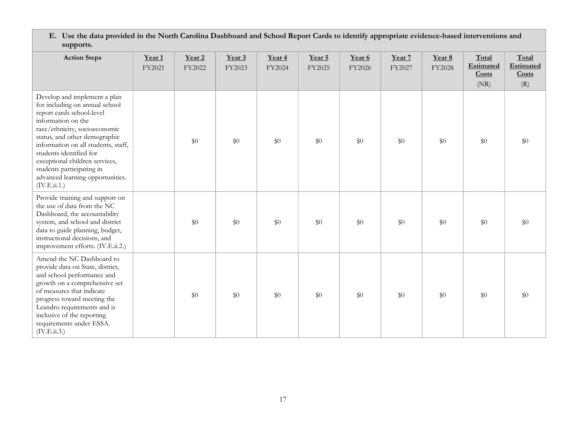| E. Use the data provided in the North Carolina Dashboard and School Report Cards to identify appropriate evidence-based interventions and |
|-------------------------------------------------------------------------------------------------------------------------------------------|
| supports.                                                                                                                                 |

| <b>Action Steps</b>                                                                                                                                                                                                                                                                                                                                                      | Year <sub>1</sub><br>FY2021 | Year <sub>2</sub><br>FY2022 | Year 3<br>FY2023 | Year <sub>4</sub><br>FY2024 | Year 5<br>FY2025 | Year 6<br>FY2026 | Year 7<br>FY2027 | Year 8<br>FY2028 | Total<br><b>Estimated</b><br>Costs<br>(NR) | Total<br>Estimated<br>Costs<br>(R) |
|--------------------------------------------------------------------------------------------------------------------------------------------------------------------------------------------------------------------------------------------------------------------------------------------------------------------------------------------------------------------------|-----------------------------|-----------------------------|------------------|-----------------------------|------------------|------------------|------------------|------------------|--------------------------------------------|------------------------------------|
| Develop and implement a plan<br>for including on annual school<br>report cards school-level<br>information on the<br>race/ethnicity, socioeconomic<br>status, and other demographic<br>information on all students, staff,<br>students identified for<br>exceptional children services,<br>students participating in<br>advanced learning opportunities.<br>(IV.E.ii.1.) |                             | $\$0$                       | $\$0$            | $\$0$                       | $\$0$            | $\$0$            | \$0              | \$0              | \$0                                        | $\$0$                              |
| Provide training and support on<br>the use of data from the NC<br>Dashboard, the accountability<br>system, and school and district<br>data to guide planning, budget,<br>instructional decisions, and<br>improvement efforts. (IV.E.ii.2.)                                                                                                                               |                             | $\$0$                       | \$0              | \$0                         | \$0              | \$0              | \$0              | \$0              | \$0                                        | \$0                                |
| Amend the NC Dashboard to<br>provide data on State, district,<br>and school performance and<br>growth on a comprehensive set<br>of measures that indicate<br>progress toward meeting the<br>Leandro requirements and is<br>inclusive of the reporting<br>requirements under ESSA.<br>(IV.E.ii.3.)                                                                        |                             | $\$0$                       | \$0              | \$0                         | \$0              | \$0              | \$0              | \$0              | \$0                                        | \$0                                |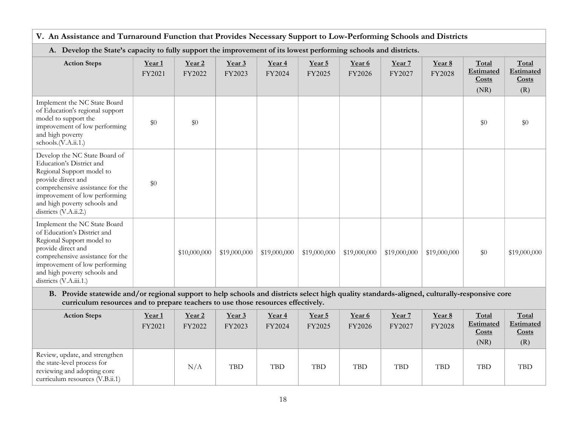| V. An Assistance and Turnaround Function that Provides Necessary Support to Low-Performing Schools and Districts                                                                                                                              |                  |                             |                  |                  |                  |                  |                  |                  |                                     |                                    |  |
|-----------------------------------------------------------------------------------------------------------------------------------------------------------------------------------------------------------------------------------------------|------------------|-----------------------------|------------------|------------------|------------------|------------------|------------------|------------------|-------------------------------------|------------------------------------|--|
| A. Develop the State's capacity to fully support the improvement of its lowest performing schools and districts.                                                                                                                              |                  |                             |                  |                  |                  |                  |                  |                  |                                     |                                    |  |
| <b>Action Steps</b>                                                                                                                                                                                                                           | Year 1<br>FY2021 | Year <sub>2</sub><br>FY2022 | Year 3<br>FY2023 | Year 4<br>FY2024 | Year 5<br>FY2025 | Year 6<br>FY2026 | Year 7<br>FY2027 | Year 8<br>FY2028 | Total<br>Estimated<br>Costs<br>(NR) | Total<br>Estimated<br>Costs<br>(R) |  |
| Implement the NC State Board<br>of Education's regional support<br>model to support the<br>improvement of low performing<br>and high poverty<br>schools.(V.A.ii.1.)                                                                           | \$0              | \$0                         |                  |                  |                  |                  |                  |                  | \$0                                 | \$0                                |  |
| Develop the NC State Board of<br>Education's District and<br>Regional Support model to<br>provide direct and<br>comprehensive assistance for the<br>improvement of low performing<br>and high poverty schools and<br>districts (V.A.ii.2.)    | \$0              |                             |                  |                  |                  |                  |                  |                  |                                     |                                    |  |
| Implement the NC State Board<br>of Education's District and<br>Regional Support model to<br>provide direct and<br>comprehensive assistance for the<br>improvement of low performing<br>and high poverty schools and<br>districts (V.A.iii.1.) |                  | \$10,000,000                | \$19,000,000     | \$19,000,000     | \$19,000,000     | \$19,000,000     | \$19,000,000     | \$19,000,000     | \$0                                 | \$19,000,000                       |  |
| B. Provide statewide and/or regional support to help schools and districts select high quality standards-aligned, culturally-responsive core<br>curriculum resources and to prepare teachers to use those resources effectively.              |                  |                             |                  |                  |                  |                  |                  |                  |                                     |                                    |  |
| <b>Action Steps</b>                                                                                                                                                                                                                           | Year 1<br>FY2021 | Year 2<br>FY2022            | Year 3<br>FY2023 | Year 4<br>FY2024 | Year 5<br>FY2025 | Year 6<br>FY2026 | Year 7<br>FY2027 | Year 8<br>FY2028 | Total<br>Estimated<br>Costs<br>(NR) | Total<br>Estimated<br>Costs<br>(R) |  |
| Review, update, and strengthen<br>the state-level process for                                                                                                                                                                                 |                  | $NT / \Lambda$              | <b>TDD</b>       | <b>TDD</b>       | <b>TDD</b>       | <b>TDD</b>       | <b>TDD</b>       | <b>TDD</b>       | <b>TDD</b>                          | TDD                                |  |

| <b>Action Steps</b>                                                                                                             | Year <sub>1</sub><br>FY2021 | Year 2<br>FY2022 | Year 3<br>FY2023 | Year 4<br>FY2024 | Year 5<br>FY2025 | Year 6<br>FY2026 | Year 7<br>FY2027 | Year 8<br>FY2028 | Total<br>Estimated<br>Costs<br>(NR) | Total<br>Estimated<br>Costs<br>(R) |
|---------------------------------------------------------------------------------------------------------------------------------|-----------------------------|------------------|------------------|------------------|------------------|------------------|------------------|------------------|-------------------------------------|------------------------------------|
| Review, update, and strengthen<br>the state-level process for<br>reviewing and adopting core<br>curriculum resources (V.B.ii.1) |                             | N/A              | <b>TBD</b>       | <b>TBD</b>       | <b>TBD</b>       | <b>TBD</b>       | <b>TBD</b>       | <b>TBD</b>       | <b>TBD</b>                          | <b>TBD</b>                         |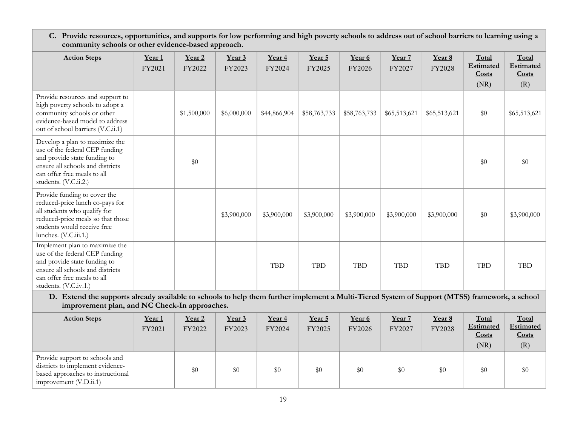C. Provide resources, opportunities, and supports for low performing and high poverty schools to address out of school barriers to learning using a community schools or other evidence-based approach.

| <b>Action Steps</b>                                                                                                                                                                          | Year 1<br>FY2021 | Year 2<br>FY2022 | Year 3<br>FY2023 | Year 4<br>FY2024 | Year 5<br>FY2025 | Year 6<br>FY2026 | Year 7<br>FY2027 | Year 8<br>FY2028 | Total<br><b>Estimated</b><br>Costs<br>(NR) | Total<br>Estimated<br>Costs<br>(R) |
|----------------------------------------------------------------------------------------------------------------------------------------------------------------------------------------------|------------------|------------------|------------------|------------------|------------------|------------------|------------------|------------------|--------------------------------------------|------------------------------------|
| Provide resources and support to<br>high poverty schools to adopt a<br>community schools or other<br>evidence-based model to address<br>out of school barriers (V.C.ii.1)                    |                  | \$1,500,000      | \$6,000,000      | \$44,866,904     | \$58,763,733     | \$58,763,733     | \$65,513,621     | \$65,513,621     | \$0                                        | \$65,513,621                       |
| Develop a plan to maximize the<br>use of the federal CEP funding<br>and provide state funding to<br>ensure all schools and districts<br>can offer free meals to all<br>students. (V.C.ii.2.) |                  | \$0              |                  |                  |                  |                  |                  |                  | \$0                                        | \$0                                |
| Provide funding to cover the<br>reduced-price lunch co-pays for<br>all students who qualify for<br>reduced-price meals so that those<br>students would receive free<br>lunches. (V.C.iii.1.) |                  |                  | \$3,900,000      | \$3,900,000      | \$3,900,000      | \$3,900,000      | \$3,900,000      | \$3,900,000      | \$0                                        | \$3,900,000                        |
| Implement plan to maximize the<br>use of the federal CEP funding<br>and provide state funding to<br>ensure all schools and districts<br>can offer free meals to all<br>students. (V.C.iv.1.) |                  |                  |                  | <b>TBD</b>       | <b>TBD</b>       | <b>TBD</b>       | <b>TBD</b>       | <b>TBD</b>       | <b>TBD</b>                                 | <b>TBD</b>                         |

D. Extend the supports already available to schools to help them further implement a Multi-Tiered System of Support (MTSS) framework, a school improvement plan, and NC Check-In approaches.

| <b>Action Steps</b>                                                                                                                 | Year <sub>1</sub><br>FY2021 | Year 2<br>FY2022 | Year 3<br>FY2023 | Year 4<br>FY2024 | Year 5<br>FY2025 | Year 6<br>FY2026 | Year 7<br>FY2027 | Year 8<br>FY2028 | Total<br><b>Estimated</b><br>Costs<br>(NR) | Total<br><b>Estimated</b><br>Costs<br>(R) |
|-------------------------------------------------------------------------------------------------------------------------------------|-----------------------------|------------------|------------------|------------------|------------------|------------------|------------------|------------------|--------------------------------------------|-------------------------------------------|
| Provide support to schools and<br>districts to implement evidence-<br>based approaches to instructional<br>improvement $(V.D.ii.1)$ |                             | $\$0$            | $\$0$            | $\$0$            | \$0              | \$0              | \$0              | \$0              | \$0                                        | \$0                                       |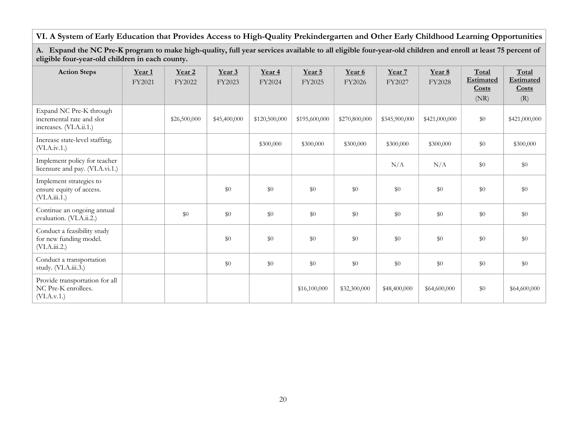# VI. A System of Early Education that Provides Access to High-Quality Prekindergarten and Other Early Childhood Learning Opportunities

#### A. Expand the NC Pre-K program to make high-quality, full year services available to all eligible four-year-old children and enroll at least 75 percent of eligible four-year-old children in each county.

| <b>Action Steps</b>                                                             | Year <sub>1</sub><br>FY2021 | Year 2<br>FY2022 | Year 3<br>FY2023 | Year <sub>4</sub><br>FY2024 | Year 5<br>FY2025 | Year 6<br>FY2026 | Year 7<br>FY2027 | Year 8<br><b>FY2028</b> | Total<br><b>Estimated</b><br>Costs<br>(NR) | Total<br><b>Estimated</b><br>Costs<br>(R) |
|---------------------------------------------------------------------------------|-----------------------------|------------------|------------------|-----------------------------|------------------|------------------|------------------|-------------------------|--------------------------------------------|-------------------------------------------|
| Expand NC Pre-K through<br>incremental rate and slot<br>increases. (VI.A.ii.1.) |                             | \$26,500,000     | \$45,400,000     | \$120,500,000               | \$195,600,000    | \$270,800,000    | \$345,900,000    | \$421,000,000           | \$0                                        | \$421,000,000                             |
| Increase state-level staffing.<br>(VI.A.i.v.1.)                                 |                             |                  |                  | \$300,000                   | \$300,000        | \$300,000        | \$300,000        | \$300,000               | \$0                                        | \$300,000                                 |
| Implement policy for teacher<br>licensure and pay. (VI.A.vi.1.)                 |                             |                  |                  |                             |                  |                  | N/A              | N/A                     | \$0                                        | \$0                                       |
| Implement strategies to<br>ensure equity of access.<br>(VI.A.iii.1.)            |                             |                  | $\$0$            | \$0                         | $\$0$            | \$0              | \$0              | $\$0$                   | $\$0$                                      | $\$0$                                     |
| Continue an ongoing annual<br>evaluation. (VI.A.ii.2.)                          |                             | $\$0$            | $\$0$            | \$0                         | \$0              | \$0              | $\$0$            | $\$0$                   | \$0                                        | \$0                                       |
| Conduct a feasibility study<br>for new funding model.<br>(VI.A.iii.2.)          |                             |                  | $\$0$            | \$0                         | \$0              | \$0              | \$0              | $\$0$                   | \$0                                        | $\$0$                                     |
| Conduct a transportation<br>study. (VI.A.iii.3.)                                |                             |                  | \$0              | \$0                         | \$0              | \$0              | \$0              | $\$0$                   | \$0                                        | $\$0$                                     |
| Provide transportation for all<br>NC Pre-K enrollees.<br>(VI.A.v.1.)            |                             |                  |                  |                             | \$16,100,000     | \$32,300,000     | \$48,400,000     | \$64,600,000            | \$0                                        | \$64,600,000                              |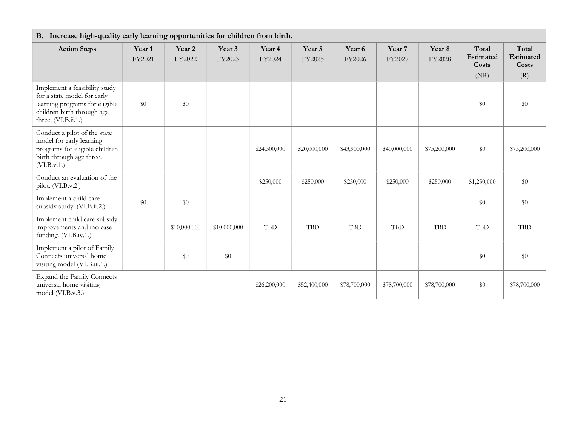| B. Increase high-quality early learning opportunities for children from birth.                                                                      |                             |                             |                  |                  |                  |                  |                  |                  |                                            |                                           |  |  |
|-----------------------------------------------------------------------------------------------------------------------------------------------------|-----------------------------|-----------------------------|------------------|------------------|------------------|------------------|------------------|------------------|--------------------------------------------|-------------------------------------------|--|--|
| <b>Action Steps</b>                                                                                                                                 | Year <sub>1</sub><br>FY2021 | Year <sub>2</sub><br>FY2022 | Year 3<br>FY2023 | Year 4<br>FY2024 | Year 5<br>FY2025 | Year 6<br>FY2026 | Year 7<br>FY2027 | Year 8<br>FY2028 | Total<br>Estimated<br><b>Costs</b><br>(NR) | Total<br><b>Estimated</b><br>Costs<br>(R) |  |  |
| Implement a feasibility study<br>for a state model for early<br>learning programs for eligible<br>children birth through age<br>three. (VI.B.ii.1.) | \$0                         | $\$0$                       |                  |                  |                  |                  |                  |                  | \$0                                        | \$0                                       |  |  |
| Conduct a pilot of the state<br>model for early learning<br>programs for eligible children<br>birth through age three.<br>(VI.B.v.1.)               |                             |                             |                  | \$24,300,000     | \$20,000,000     | \$43,900,000     | \$40,000,000     | \$75,200,000     | \$0                                        | \$75,200,000                              |  |  |
| Conduct an evaluation of the<br>pilot. (VI.B.v.2.)                                                                                                  |                             |                             |                  | \$250,000        | \$250,000        | \$250,000        | \$250,000        | \$250,000        | \$1,250,000                                | \$0                                       |  |  |
| Implement a child care<br>subsidy study. (VI.B.ii.2.)                                                                                               | \$0                         | \$0                         |                  |                  |                  |                  |                  |                  | \$0                                        | \$0                                       |  |  |
| Implement child care subsidy<br>improvements and increase<br>funding. (VI.B.iv.1.)                                                                  |                             | \$10,000,000                | \$10,000,000     | <b>TBD</b>       | <b>TBD</b>       | <b>TBD</b>       | <b>TBD</b>       | <b>TBD</b>       | $\operatorname{TBD}$                       | <b>TBD</b>                                |  |  |
| Implement a pilot of Family<br>Connects universal home<br>visiting model (VI.B.iii.1.)                                                              |                             | $\$0$                       | \$0              |                  |                  |                  |                  |                  | \$0                                        | \$0                                       |  |  |
| <b>Expand the Family Connects</b><br>universal home visiting<br>model (VI.B.v.3.)                                                                   |                             |                             |                  | \$26,200,000     | \$52,400,000     | \$78,700,000     | \$78,700,000     | \$78,700,000     | \$0                                        | \$78,700,000                              |  |  |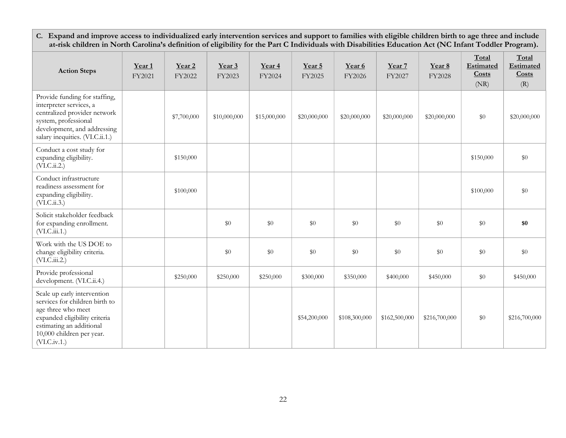C. Expand and improve access to individualized early intervention services and support to families with eligible children birth to age three and include at-risk children in North Carolina's definition of eligibility for the Part C Individuals with Disabilities Education Act (NC Infant Toddler Program).

| <b>Action Steps</b>                                                                                                                                                                            | Year <sub>1</sub><br>FY2021 | Year <sub>2</sub><br>FY2022 | Year 3<br>FY2023 | Year 4<br>FY2024 | Year 5<br>FY2025 | Year 6<br>FY2026 | Year 7<br>FY2027 | Year 8<br>FY2028 | Total<br>Estimated<br>Costs<br>(NR) | Total<br>Estimated<br>Costs<br>(R) |
|------------------------------------------------------------------------------------------------------------------------------------------------------------------------------------------------|-----------------------------|-----------------------------|------------------|------------------|------------------|------------------|------------------|------------------|-------------------------------------|------------------------------------|
| Provide funding for staffing,<br>interpreter services, a<br>centralized provider network<br>system, professional<br>development, and addressing<br>salary inequities. (VI.C.ii.1.)             |                             | \$7,700,000                 | \$10,000,000     | \$15,000,000     | \$20,000,000     | \$20,000,000     | \$20,000,000     | \$20,000,000     | $\$0$                               | \$20,000,000                       |
| Conduct a cost study for<br>expanding eligibility.<br>(VI.C.ii.2.)                                                                                                                             |                             | \$150,000                   |                  |                  |                  |                  |                  |                  | \$150,000                           | \$0                                |
| Conduct infrastructure<br>readiness assessment for<br>expanding eligibility.<br>(VI.C.ii.3.)                                                                                                   |                             | \$100,000                   |                  |                  |                  |                  |                  |                  | \$100,000                           | \$0                                |
| Solicit stakeholder feedback<br>for expanding enrollment.<br>(VI.C.iii.1.)                                                                                                                     |                             |                             | $\$0$            | \$0              | $\$0$            | \$0              | $\$0$            | $\$0$            | $\$0$                               | \$0                                |
| Work with the US DOE to<br>change eligibility criteria.<br>(VI.C.iii.2.)                                                                                                                       |                             |                             | $\$0$            | \$0              | \$0              | \$0              | \$0              | $\$0$            | $\$0$                               | $\$0$                              |
| Provide professional<br>development. (VI.C.ii.4.)                                                                                                                                              |                             | \$250,000                   | \$250,000        | \$250,000        | \$300,000        | \$350,000        | \$400,000        | \$450,000        | \$0                                 | \$450,000                          |
| Scale up early intervention<br>services for children birth to<br>age three who meet<br>expanded eligibility criteria<br>estimating an additional<br>10,000 children per year.<br>(VI.C.i.v.1.) |                             |                             |                  |                  | \$54,200,000     | \$108,300,000    | \$162,500,000    | \$216,700,000    | $\$0$                               | \$216,700,000                      |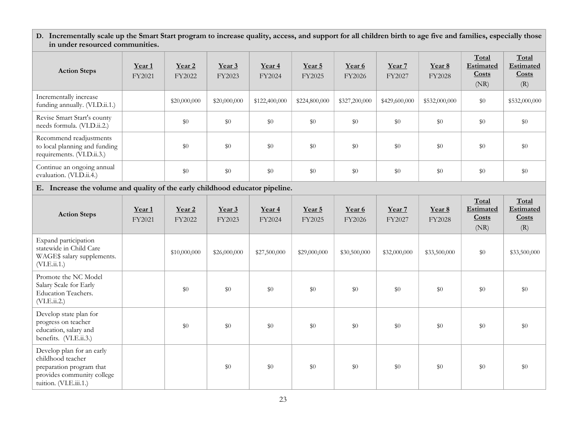D. Incrementally scale up the Smart Start program to increase quality, access, and support for all children birth to age five and families, especially those in under resourced communities.

| <b>Action Steps</b>                                                                                      | Year <sub>1</sub><br>FY2021 | Year <sub>2</sub><br>FY2022 | Year 3<br>FY2023 | Year 4<br>FY2024            | Year 5<br>FY2025 | Year 6<br>FY2026 | Year 7<br>FY2027 | Year 8<br>FY2028 | Total<br>Estimated<br>Costs<br>(NR) | Total<br>Estimated<br>Costs<br>(R)        |  |
|----------------------------------------------------------------------------------------------------------|-----------------------------|-----------------------------|------------------|-----------------------------|------------------|------------------|------------------|------------------|-------------------------------------|-------------------------------------------|--|
| Incrementally increase<br>funding annually. (VI.D.ii.1.)                                                 |                             | \$20,000,000                | \$20,000,000     | \$122,400,000               | \$224,800,000    | \$327,200,000    | \$429,600,000    | \$532,000,000    | \$0                                 | \$532,000,000                             |  |
| Revise Smart Start's county<br>needs formula. (VI.D.ii.2.)                                               |                             | $\$0$                       | \$0              | \$0                         | \$0              | \$0              | $\$0$            | \$0              | \$0                                 | $\$0$                                     |  |
| Recommend readjustments<br>to local planning and funding<br>requirements. (VI.D.ii.3.)                   |                             | $\$0$                       | \$0              | $\$0$                       | $\$0$            | \$0              | $\$0$            | $\$0$            | $\$0$                               | $\$0$                                     |  |
| Continue an ongoing annual<br>evaluation. (VI.D.ii.4.)                                                   |                             | $\$0$                       | \$0              | \$0                         | \$0              | $\$0$            | \$0              | $\$0$            | $\$0$                               | $\$0$                                     |  |
| E. Increase the volume and quality of the early childhood educator pipeline.                             |                             |                             |                  |                             |                  |                  |                  |                  |                                     |                                           |  |
| <b>Action Steps</b>                                                                                      | Year <sub>1</sub><br>FY2021 | Year <sub>2</sub><br>FY2022 | Year 3<br>FY2023 | Year <sub>4</sub><br>FY2024 | Year 5<br>FY2025 | Year 6<br>FY2026 | Year 7<br>FY2027 | Year 8<br>FY2028 | Total<br>Estimated<br>Costs<br>(NR) | Total<br><b>Estimated</b><br>Costs<br>(R) |  |
| Expand participation<br>statewide in Child Care<br>WAGE\$ salary supplements.<br>(VI.E.ii.1.)            |                             | \$10,000,000                | \$26,000,000     | \$27,500,000                | \$29,000,000     | \$30,500,000     | \$32,000,000     | \$33,500,000     | \$0                                 | \$33,500,000                              |  |
| Promote the NC Model<br>Salary Scale for Early<br>Education Teachers.<br>(VI.E.ii.2.)                    |                             | \$0                         | \$0              | \$0                         | \$0              | \$0              | \$0              | \$0              | \$0                                 | \$0                                       |  |
| Develop state plan for<br>progress on teacher<br>education, salary and<br>benefits. (VI.E.ii.3.)         |                             | $\$0$                       | \$0              | \$0                         | \$0              | \$0              | \$0              | \$0              | \$0                                 | $\$0$                                     |  |
| Develop plan for an early<br>childhood teacher<br>preparation program that<br>provides community college |                             |                             | \$0              | \$0                         | \$0              | \$0              | \$0              | \$0              | \$0                                 | $\$0$                                     |  |

tuition. (VI.E.iii.1.)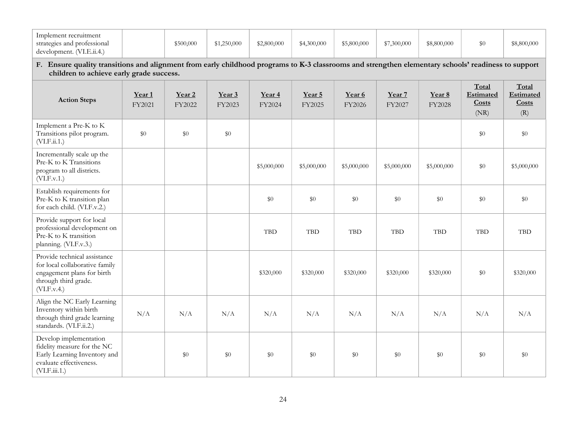| Implement recruitment<br>strategies and professional<br>development. (VI.E.ii.4.)                                                                                                               |                             | \$500,000        | \$1,250,000      | \$2,800,000      | \$4,300,000      | \$5,800,000      | \$7,300,000      | \$8,800,000      | \$0                                        | \$8,800,000                        |  |
|-------------------------------------------------------------------------------------------------------------------------------------------------------------------------------------------------|-----------------------------|------------------|------------------|------------------|------------------|------------------|------------------|------------------|--------------------------------------------|------------------------------------|--|
| F. Ensure quality transitions and alignment from early childhood programs to K-3 classrooms and strengthen elementary schools' readiness to support<br>children to achieve early grade success. |                             |                  |                  |                  |                  |                  |                  |                  |                                            |                                    |  |
| <b>Action Steps</b>                                                                                                                                                                             | Year <sub>1</sub><br>FY2021 | Year 2<br>FY2022 | Year 3<br>FY2023 | Year 4<br>FY2024 | Year 5<br>FY2025 | Year 6<br>FY2026 | Year 7<br>FY2027 | Year 8<br>FY2028 | Total<br><b>Estimated</b><br>Costs<br>(NR) | Total<br>Estimated<br>Costs<br>(R) |  |
| Implement a Pre-K to K<br>Transitions pilot program.<br>(VI.F.ii.1.)                                                                                                                            | $\$0$                       | \$0              | \$0              |                  |                  |                  |                  |                  | \$0                                        | \$0                                |  |
| Incrementally scale up the<br>Pre-K to K Transitions<br>program to all districts.<br>(VI.F.v.1.)                                                                                                |                             |                  |                  | \$5,000,000      | \$5,000,000      | \$5,000,000      | \$5,000,000      | \$5,000,000      | \$0                                        | \$5,000,000                        |  |
| Establish requirements for<br>Pre-K to K transition plan<br>for each child. (VI.F.v.2.)                                                                                                         |                             |                  |                  | \$0              | \$0              | \$0              | $\$0$            | $\$0$            | \$0                                        | \$0                                |  |
| Provide support for local<br>professional development on<br>Pre-K to K transition<br>planning. (VI.F.v.3.)                                                                                      |                             |                  |                  | <b>TBD</b>       | <b>TBD</b>       | <b>TBD</b>       | <b>TBD</b>       | <b>TBD</b>       | <b>TBD</b>                                 | <b>TBD</b>                         |  |
| Provide technical assistance<br>for local collaborative family<br>engagement plans for birth<br>through third grade.<br>(VI.F.v.4.)                                                             |                             |                  |                  | \$320,000        | \$320,000        | \$320,000        | \$320,000        | \$320,000        | \$0                                        | \$320,000                          |  |
| Align the NC Early Learning<br>Inventory within birth<br>through third grade learning<br>standards. (VI.F.ii.2.)                                                                                | N/A                         | N/A              | N/A              | N/A              | N/A              | N/A              | N/A              | N/A              | N/A                                        | N/A                                |  |
| Develop implementation<br>fidelity measure for the NC<br>Early Learning Inventory and<br>evaluate effectiveness.<br>(VI.F.iii.1.)                                                               |                             | \$0              | \$0              | \$0              | \$0              | \$0              | \$0              | \$0              | \$0                                        | \$0                                |  |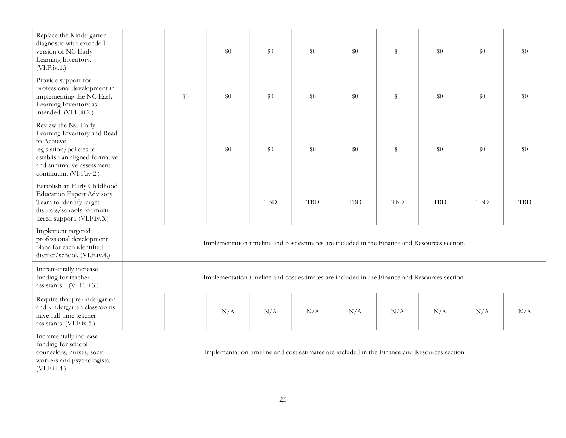| Replace the Kindergarten<br>diagnostic with extended<br>version of NC Early<br>Learning Inventory.<br>(VI.F.iv.1.)                                                                   |                                                                                               |     | \$0 | \$0        | \$0        | \$0        | \$0        | \$0                                                                                           | \$0        | $\$0$      |  |
|--------------------------------------------------------------------------------------------------------------------------------------------------------------------------------------|-----------------------------------------------------------------------------------------------|-----|-----|------------|------------|------------|------------|-----------------------------------------------------------------------------------------------|------------|------------|--|
| Provide support for<br>professional development in<br>implementing the NC Early<br>Learning Inventory as<br>intended. (VI.F.iii.2.)                                                  |                                                                                               | \$0 | \$0 | \$0        | $\$0$      | \$0        | \$0        | $\$0$                                                                                         | \$0        | \$0        |  |
| Review the NC Early<br>Learning Inventory and Read<br>to Achieve<br>legislation/policies to<br>establish an aligned formative<br>and summative assessment<br>continuum. (VI.F.iv.2.) |                                                                                               |     | \$0 | \$0        | $\$0$      | \$0        | \$0        | $\$0$                                                                                         | \$0        | \$0        |  |
| Establish an Early Childhood<br><b>Education Expert Advisory</b><br>Team to identify target<br>districts/schools for multi-<br>tiered support. (VI.F.iv.3.)                          |                                                                                               |     |     | <b>TBD</b> | <b>TBD</b> | <b>TBD</b> | <b>TBD</b> | <b>TBD</b>                                                                                    | <b>TBD</b> | <b>TBD</b> |  |
| Implement targeted<br>professional development<br>plans for each identified<br>district/school. (VI.F.iv.4.)                                                                         | Implementation timeline and cost estimates are included in the Finance and Resources section. |     |     |            |            |            |            |                                                                                               |            |            |  |
| Incrementally increase<br>funding for teacher<br>assistants. (VI.F.iii.3.)                                                                                                           |                                                                                               |     |     |            |            |            |            | Implementation timeline and cost estimates are included in the Finance and Resources section. |            |            |  |
| Require that prekindergarten<br>and kindergarten classrooms<br>have full-time teacher<br>assistants. (VI.F.iv.5.)                                                                    |                                                                                               |     | N/A | N/A        | N/A        | N/A        | N/A        | N/A                                                                                           | N/A        | N/A        |  |
| Incrementally increase<br>funding for school<br>counselors, nurses, social<br>workers and psychologists.<br>(VI.F.iii.4.)                                                            | Implementation timeline and cost estimates are included in the Finance and Resources section  |     |     |            |            |            |            |                                                                                               |            |            |  |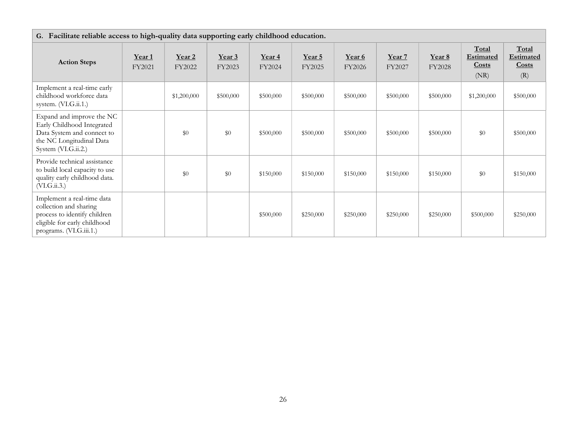| G. Facilitate reliable access to high-quality data supporting early childhood education.                                                        |                  |                  |                  |                  |                  |                  |                  |                  |                                            |                                           |  |
|-------------------------------------------------------------------------------------------------------------------------------------------------|------------------|------------------|------------------|------------------|------------------|------------------|------------------|------------------|--------------------------------------------|-------------------------------------------|--|
| <b>Action Steps</b>                                                                                                                             | Year 1<br>FY2021 | Year 2<br>FY2022 | Year 3<br>FY2023 | Year 4<br>FY2024 | Year 5<br>FY2025 | Year 6<br>FY2026 | Year 7<br>FY2027 | Year 8<br>FY2028 | Total<br><b>Estimated</b><br>Costs<br>(NR) | Total<br><b>Estimated</b><br>Costs<br>(R) |  |
| Implement a real-time early<br>childhood workforce data<br>system. (VI.G.ii.1.)                                                                 |                  | \$1,200,000      | \$500,000        | \$500,000        | \$500,000        | \$500,000        | \$500,000        | \$500,000        | \$1,200,000                                | \$500,000                                 |  |
| Expand and improve the NC<br>Early Childhood Integrated<br>Data System and connect to<br>the NC Longitudinal Data<br>System (VI.G.ii.2.)        |                  | \$0              | \$0              | \$500,000        | \$500,000        | \$500,000        | \$500,000        | \$500,000        | \$0                                        | \$500,000                                 |  |
| Provide technical assistance<br>to build local capacity to use<br>quality early childhood data.<br>(VI.G.ii.3.)                                 |                  | \$0              | \$0              | \$150,000        | \$150,000        | \$150,000        | \$150,000        | \$150,000        | \$0                                        | \$150,000                                 |  |
| Implement a real-time data<br>collection and sharing<br>process to identify children<br>eligible for early childhood<br>programs. (VI.G.iii.1.) |                  |                  |                  | \$500,000        | \$250,000        | \$250,000        | \$250,000        | \$250,000        | \$500,000                                  | \$250,000                                 |  |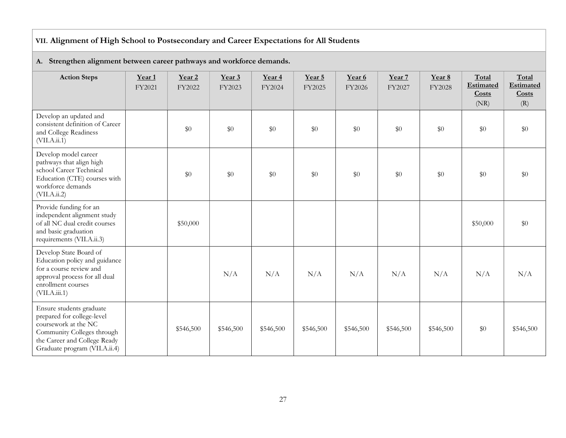# VII. Alignment of High School to Postsecondary and Career Expectations for All Students

| <b>Action Steps</b>                                                                                                                                                           | Year 1<br>FY2021 | Year <sub>2</sub><br>FY2022 | Year 3<br>FY2023 | Year <sub>4</sub><br>FY2024 | Year 5<br>FY2025 | Year 6<br>FY2026 | Year 7<br>FY2027 | Year 8<br>FY2028 | Total<br><b>Estimated</b><br>Costs<br>(NR) | Total<br>Estimated<br>Costs<br>(R) |  |
|-------------------------------------------------------------------------------------------------------------------------------------------------------------------------------|------------------|-----------------------------|------------------|-----------------------------|------------------|------------------|------------------|------------------|--------------------------------------------|------------------------------------|--|
| Develop an updated and<br>consistent definition of Career<br>and College Readiness<br>(VII.A.ii.1)                                                                            |                  | $\$0$                       | \$0              | $\$0$                       | $\$0$            | $\$0$            | $\$0$            | \$0              | $\$0$                                      | $\$0$                              |  |
| Develop model career<br>pathways that align high<br>school Career Technical<br>Education (CTE) courses with<br>workforce demands<br>(VII.A.ii.2)                              |                  | \$0                         | \$0              | $\$0$                       | \$0              | \$0              | \$0              | \$0              | \$0                                        | \$0                                |  |
| Provide funding for an<br>independent alignment study<br>of all NC dual credit courses<br>and basic graduation<br>requirements (VII.A.ii.3)                                   |                  | \$50,000                    |                  |                             |                  |                  |                  |                  | \$50,000                                   | \$0                                |  |
| Develop State Board of<br>Education policy and guidance<br>for a course review and<br>approval process for all dual<br>enrollment courses<br>(VII.A.iii.1)                    |                  |                             | N/A              | N/A                         | N/A              | N/A              | N/A              | N/A              | N/A                                        | N/A                                |  |
| Ensure students graduate<br>prepared for college-level<br>coursework at the NC<br>Community Colleges through<br>the Career and College Ready<br>Graduate program (VII.A.ii.4) |                  | \$546,500                   | \$546,500        | \$546,500                   | \$546,500        | \$546,500        | \$546,500        | \$546,500        | \$0                                        | \$546,500                          |  |

#### A. Strengthen alignment between career pathways and workforce demands.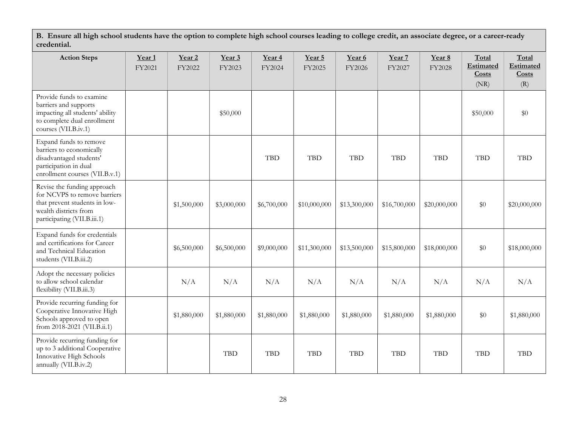B. Ensure all high school students have the option to complete high school courses leading to college credit, an associate degree, or a career-ready credential.

| <b>Action Steps</b>                                                                                                                                  | Year <sub>1</sub><br>FY2021 | Year <sub>2</sub><br>FY2022 | Year 3<br>FY2023 | Year 4<br>FY2024 | Year 5<br>FY2025 | Year 6<br>FY2026 | Year 7<br>FY2027 | Year 8<br>FY2028 | Total<br>Estimated<br>Costs<br>(NR) | Total<br>Estimated<br>Costs<br>(R) |
|------------------------------------------------------------------------------------------------------------------------------------------------------|-----------------------------|-----------------------------|------------------|------------------|------------------|------------------|------------------|------------------|-------------------------------------|------------------------------------|
| Provide funds to examine<br>barriers and supports<br>impacting all students' ability<br>to complete dual enrollment<br>courses (VII.B.iv.1)          |                             |                             | \$50,000         |                  |                  |                  |                  |                  | \$50,000                            | \$0                                |
| Expand funds to remove<br>barriers to economically<br>disadvantaged students'<br>participation in dual<br>enrollment courses (VII.B.v.1)             |                             |                             |                  | <b>TBD</b>       | <b>TBD</b>       | <b>TBD</b>       | <b>TBD</b>       | <b>TBD</b>       | <b>TBD</b>                          | <b>TBD</b>                         |
| Revise the funding approach<br>for NCVPS to remove barriers<br>that prevent students in low-<br>wealth districts from<br>participating (VII.B.iii.1) |                             | \$1,500,000                 | \$3,000,000      | \$6,700,000      | \$10,000,000     | \$13,300,000     | \$16,700,000     | \$20,000,000     | $\$0$                               | \$20,000,000                       |
| Expand funds for credentials<br>and certifications for Career<br>and Technical Education<br>students (VII.B.iii.2)                                   |                             | \$6,500,000                 | \$6,500,000      | \$9,000,000      | \$11,300,000     | \$13,500,000     | \$15,800,000     | \$18,000,000     | $\$0$                               | \$18,000,000                       |
| Adopt the necessary policies<br>to allow school calendar<br>flexibility (VII.B.iii.3)                                                                |                             | N/A                         | N/A              | N/A              | N/A              | N/A              | N/A              | N/A              | N/A                                 | N/A                                |
| Provide recurring funding for<br>Cooperative Innovative High<br>Schools approved to open<br>from 2018-2021 (VII.B.ii.1)                              |                             | \$1,880,000                 | \$1,880,000      | \$1,880,000      | \$1,880,000      | \$1,880,000      | \$1,880,000      | \$1,880,000      | \$0                                 | \$1,880,000                        |
| Provide recurring funding for<br>up to 3 additional Cooperative<br>Innovative High Schools<br>annually (VII.B.iv.2)                                  |                             |                             | <b>TBD</b>       | <b>TBD</b>       | <b>TBD</b>       | <b>TBD</b>       | <b>TBD</b>       | <b>TBD</b>       | <b>TBD</b>                          | <b>TBD</b>                         |